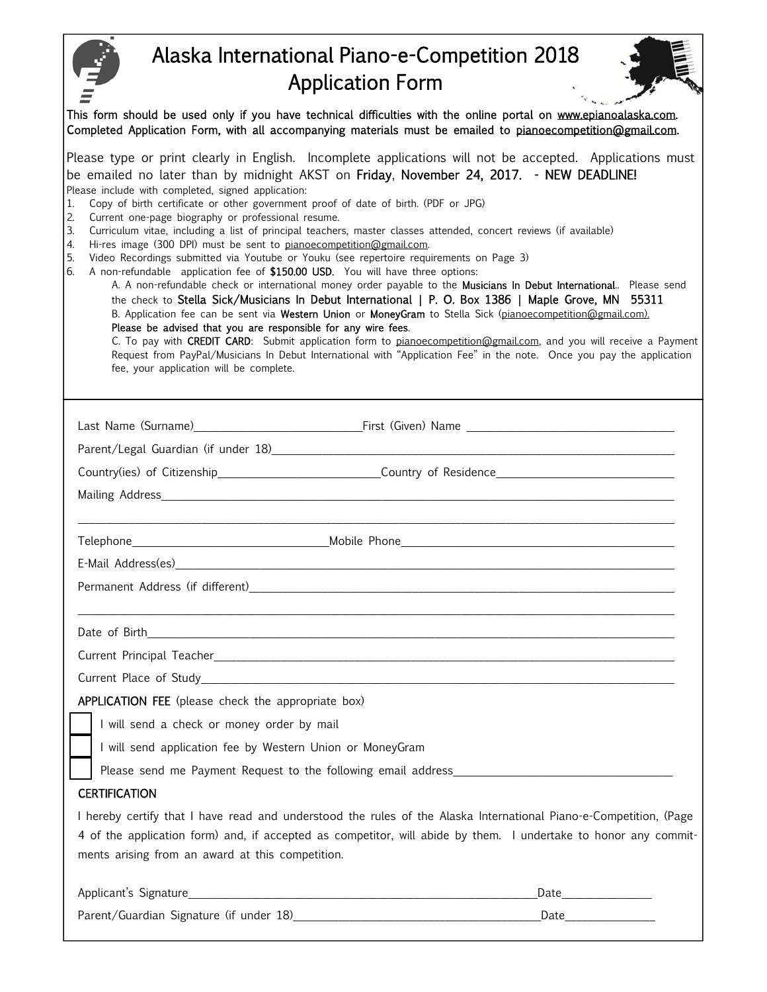|                                                                                                                                                                                                                                                                                                                                                                                                                                                                                                                                                                                                    | Alaska International Piano-e-Competition 2018                                                                                                                                                                                                                                                                                                                                                                                                                                                                                                                                                                                                                                                                                                                                                                                                                                                                      |
|----------------------------------------------------------------------------------------------------------------------------------------------------------------------------------------------------------------------------------------------------------------------------------------------------------------------------------------------------------------------------------------------------------------------------------------------------------------------------------------------------------------------------------------------------------------------------------------------------|--------------------------------------------------------------------------------------------------------------------------------------------------------------------------------------------------------------------------------------------------------------------------------------------------------------------------------------------------------------------------------------------------------------------------------------------------------------------------------------------------------------------------------------------------------------------------------------------------------------------------------------------------------------------------------------------------------------------------------------------------------------------------------------------------------------------------------------------------------------------------------------------------------------------|
|                                                                                                                                                                                                                                                                                                                                                                                                                                                                                                                                                                                                    | <b>Application Form</b>                                                                                                                                                                                                                                                                                                                                                                                                                                                                                                                                                                                                                                                                                                                                                                                                                                                                                            |
|                                                                                                                                                                                                                                                                                                                                                                                                                                                                                                                                                                                                    | This form should be used only if you have technical difficulties with the online portal on www.epianoalaska.com.<br>Completed Application Form, with all accompanying materials must be emailed to pianoecompetition@gmail.com.                                                                                                                                                                                                                                                                                                                                                                                                                                                                                                                                                                                                                                                                                    |
| Please include with completed, signed application:<br>Copy of birth certificate or other government proof of date of birth. (PDF or JPG)<br>1.<br>2.<br>Current one-page biography or professional resume.<br>3.<br>Hi-res image (300 DPI) must be sent to pianoecompetition@gmail.com.<br>4.<br>Video Recordings submitted via Youtube or Youku (see repertoire requirements on Page 3)<br>5.<br>A non-refundable application fee of \$150.00 USD. You will have three options:<br>6.<br>Please be advised that you are responsible for any wire fees.<br>fee, your application will be complete. | Please type or print clearly in English. Incomplete applications will not be accepted. Applications must<br>be emailed no later than by midnight AKST on Friday, November 24, 2017. - NEW DEADLINE!<br>Curriculum vitae, including a list of principal teachers, master classes attended, concert reviews (if available)<br>A. A non-refundable check or international money order payable to the Musicians In Debut International Please send<br>the check to Stella Sick/Musicians In Debut International   P. O. Box 1386   Maple Grove, MN 55311<br>B. Application fee can be sent via Western Union or MoneyGram to Stella Sick (pianoecompetition@gmail.com).<br>C. To pay with CREDIT CARD: Submit application form to pianoecompetition@gmail.com, and you will receive a Payment<br>Request from PayPal/Musicians In Debut International with "Application Fee" in the note. Once you pay the application |
|                                                                                                                                                                                                                                                                                                                                                                                                                                                                                                                                                                                                    |                                                                                                                                                                                                                                                                                                                                                                                                                                                                                                                                                                                                                                                                                                                                                                                                                                                                                                                    |
|                                                                                                                                                                                                                                                                                                                                                                                                                                                                                                                                                                                                    |                                                                                                                                                                                                                                                                                                                                                                                                                                                                                                                                                                                                                                                                                                                                                                                                                                                                                                                    |
|                                                                                                                                                                                                                                                                                                                                                                                                                                                                                                                                                                                                    | Country(ies) of Citizenship______________________________Country of Residence_______________________                                                                                                                                                                                                                                                                                                                                                                                                                                                                                                                                                                                                                                                                                                                                                                                                               |
|                                                                                                                                                                                                                                                                                                                                                                                                                                                                                                                                                                                                    |                                                                                                                                                                                                                                                                                                                                                                                                                                                                                                                                                                                                                                                                                                                                                                                                                                                                                                                    |
|                                                                                                                                                                                                                                                                                                                                                                                                                                                                                                                                                                                                    |                                                                                                                                                                                                                                                                                                                                                                                                                                                                                                                                                                                                                                                                                                                                                                                                                                                                                                                    |
| E-Mail Address(es) <b>E-Mail Address</b> (es)                                                                                                                                                                                                                                                                                                                                                                                                                                                                                                                                                      |                                                                                                                                                                                                                                                                                                                                                                                                                                                                                                                                                                                                                                                                                                                                                                                                                                                                                                                    |
|                                                                                                                                                                                                                                                                                                                                                                                                                                                                                                                                                                                                    | Permanent Address (if different) and the set of the set of the set of the set of the set of the set of the set of the set of the set of the set of the set of the set of the set of the set of the set of the set of the set o                                                                                                                                                                                                                                                                                                                                                                                                                                                                                                                                                                                                                                                                                     |
|                                                                                                                                                                                                                                                                                                                                                                                                                                                                                                                                                                                                    |                                                                                                                                                                                                                                                                                                                                                                                                                                                                                                                                                                                                                                                                                                                                                                                                                                                                                                                    |
|                                                                                                                                                                                                                                                                                                                                                                                                                                                                                                                                                                                                    |                                                                                                                                                                                                                                                                                                                                                                                                                                                                                                                                                                                                                                                                                                                                                                                                                                                                                                                    |
|                                                                                                                                                                                                                                                                                                                                                                                                                                                                                                                                                                                                    | Current Place of Study and the study of the study of the study of the study of the study of the study of the study of the study of the study of the study of the study of the study of the study of the study of the study of                                                                                                                                                                                                                                                                                                                                                                                                                                                                                                                                                                                                                                                                                      |
| <b>APPLICATION FEE</b> (please check the appropriate box)                                                                                                                                                                                                                                                                                                                                                                                                                                                                                                                                          |                                                                                                                                                                                                                                                                                                                                                                                                                                                                                                                                                                                                                                                                                                                                                                                                                                                                                                                    |
| I will send a check or money order by mail                                                                                                                                                                                                                                                                                                                                                                                                                                                                                                                                                         |                                                                                                                                                                                                                                                                                                                                                                                                                                                                                                                                                                                                                                                                                                                                                                                                                                                                                                                    |
| I will send application fee by Western Union or MoneyGram                                                                                                                                                                                                                                                                                                                                                                                                                                                                                                                                          |                                                                                                                                                                                                                                                                                                                                                                                                                                                                                                                                                                                                                                                                                                                                                                                                                                                                                                                    |
|                                                                                                                                                                                                                                                                                                                                                                                                                                                                                                                                                                                                    | Please send me Payment Request to the following email address____________________                                                                                                                                                                                                                                                                                                                                                                                                                                                                                                                                                                                                                                                                                                                                                                                                                                  |
| <b>CERTIFICATION</b>                                                                                                                                                                                                                                                                                                                                                                                                                                                                                                                                                                               |                                                                                                                                                                                                                                                                                                                                                                                                                                                                                                                                                                                                                                                                                                                                                                                                                                                                                                                    |
|                                                                                                                                                                                                                                                                                                                                                                                                                                                                                                                                                                                                    | I hereby certify that I have read and understood the rules of the Alaska International Piano-e-Competition, (Page                                                                                                                                                                                                                                                                                                                                                                                                                                                                                                                                                                                                                                                                                                                                                                                                  |
| ments arising from an award at this competition.                                                                                                                                                                                                                                                                                                                                                                                                                                                                                                                                                   | 4 of the application form) and, if accepted as competitor, will abide by them. I undertake to honor any commit-                                                                                                                                                                                                                                                                                                                                                                                                                                                                                                                                                                                                                                                                                                                                                                                                    |
|                                                                                                                                                                                                                                                                                                                                                                                                                                                                                                                                                                                                    |                                                                                                                                                                                                                                                                                                                                                                                                                                                                                                                                                                                                                                                                                                                                                                                                                                                                                                                    |
|                                                                                                                                                                                                                                                                                                                                                                                                                                                                                                                                                                                                    |                                                                                                                                                                                                                                                                                                                                                                                                                                                                                                                                                                                                                                                                                                                                                                                                                                                                                                                    |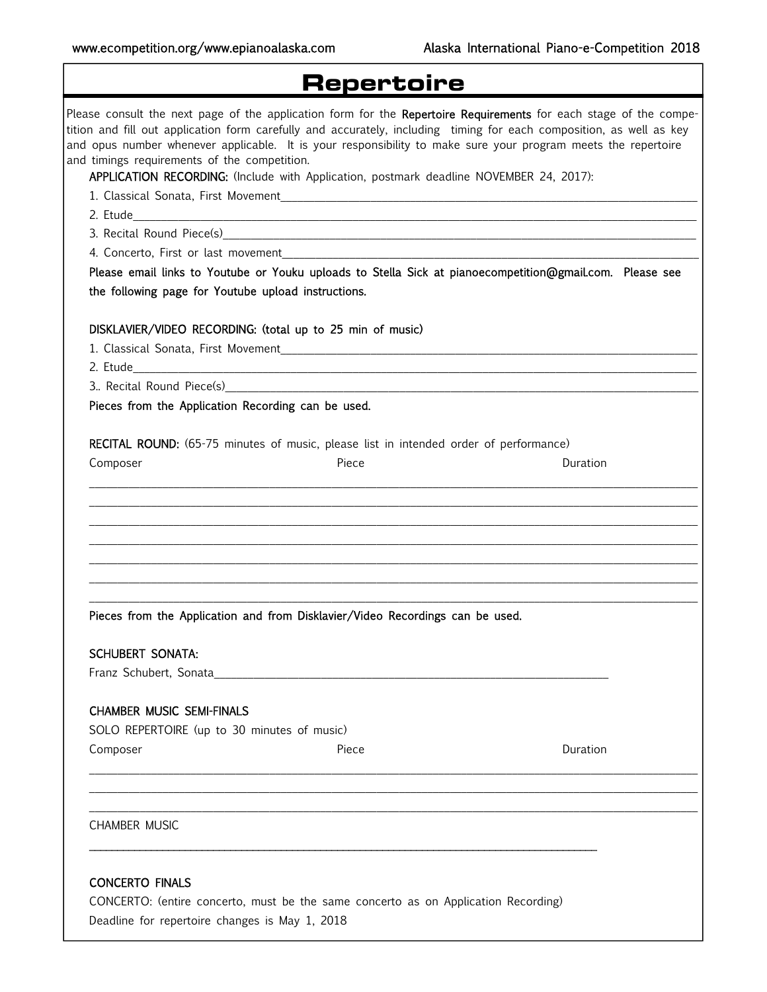٦

| <b>Repertoire</b>                                   |                                                                                                                                                                                                                                                                                                                                                                                                                                                       |  |
|-----------------------------------------------------|-------------------------------------------------------------------------------------------------------------------------------------------------------------------------------------------------------------------------------------------------------------------------------------------------------------------------------------------------------------------------------------------------------------------------------------------------------|--|
| and timings requirements of the competition.        | Please consult the next page of the application form for the Repertoire Requirements for each stage of the compe-<br>tition and fill out application form carefully and accurately, including timing for each composition, as well as key<br>and opus number whenever applicable. It is your responsibility to make sure your program meets the repertoire<br>APPLICATION RECORDING: (Include with Application, postmark deadline NOVEMBER 24, 2017): |  |
|                                                     |                                                                                                                                                                                                                                                                                                                                                                                                                                                       |  |
|                                                     |                                                                                                                                                                                                                                                                                                                                                                                                                                                       |  |
|                                                     |                                                                                                                                                                                                                                                                                                                                                                                                                                                       |  |
|                                                     |                                                                                                                                                                                                                                                                                                                                                                                                                                                       |  |
| the following page for Youtube upload instructions. | Please email links to Youtube or Youku uploads to Stella Sick at pianoecompetition@gmail.com. Please see                                                                                                                                                                                                                                                                                                                                              |  |
|                                                     | DISKLAVIER/VIDEO RECORDING: (total up to 25 min of music)                                                                                                                                                                                                                                                                                                                                                                                             |  |
|                                                     |                                                                                                                                                                                                                                                                                                                                                                                                                                                       |  |
|                                                     |                                                                                                                                                                                                                                                                                                                                                                                                                                                       |  |
|                                                     | 3. Recital Round Piece(s) 2008 2009 2010 2021 2022 2023 2024 2025 2020 2021 2022 2023 2024 2022 2022 2023 2024                                                                                                                                                                                                                                                                                                                                        |  |
| Pieces from the Application Recording can be used.  |                                                                                                                                                                                                                                                                                                                                                                                                                                                       |  |
|                                                     | RECITAL ROUND: (65-75 minutes of music, please list in intended order of performance)                                                                                                                                                                                                                                                                                                                                                                 |  |
| Composer                                            | Piece<br>Duration                                                                                                                                                                                                                                                                                                                                                                                                                                     |  |
|                                                     |                                                                                                                                                                                                                                                                                                                                                                                                                                                       |  |
|                                                     |                                                                                                                                                                                                                                                                                                                                                                                                                                                       |  |
|                                                     |                                                                                                                                                                                                                                                                                                                                                                                                                                                       |  |
|                                                     | Pieces from the Application and from Disklavier/Video Recordings can be used.                                                                                                                                                                                                                                                                                                                                                                         |  |
|                                                     |                                                                                                                                                                                                                                                                                                                                                                                                                                                       |  |
| <b>SCHUBERT SONATA:</b>                             |                                                                                                                                                                                                                                                                                                                                                                                                                                                       |  |
|                                                     |                                                                                                                                                                                                                                                                                                                                                                                                                                                       |  |
| <b>CHAMBER MUSIC SEMI-FINALS</b>                    |                                                                                                                                                                                                                                                                                                                                                                                                                                                       |  |
| SOLO REPERTOIRE (up to 30 minutes of music)         |                                                                                                                                                                                                                                                                                                                                                                                                                                                       |  |
| Composer                                            | Duration<br>Piece                                                                                                                                                                                                                                                                                                                                                                                                                                     |  |
|                                                     |                                                                                                                                                                                                                                                                                                                                                                                                                                                       |  |
|                                                     |                                                                                                                                                                                                                                                                                                                                                                                                                                                       |  |
| <b>CHAMBER MUSIC</b>                                |                                                                                                                                                                                                                                                                                                                                                                                                                                                       |  |
|                                                     |                                                                                                                                                                                                                                                                                                                                                                                                                                                       |  |
| <b>CONCERTO FINALS</b>                              |                                                                                                                                                                                                                                                                                                                                                                                                                                                       |  |
|                                                     | CONCERTO: (entire concerto, must be the same concerto as on Application Recording)                                                                                                                                                                                                                                                                                                                                                                    |  |
| Deadline for repertoire changes is May 1, 2018      |                                                                                                                                                                                                                                                                                                                                                                                                                                                       |  |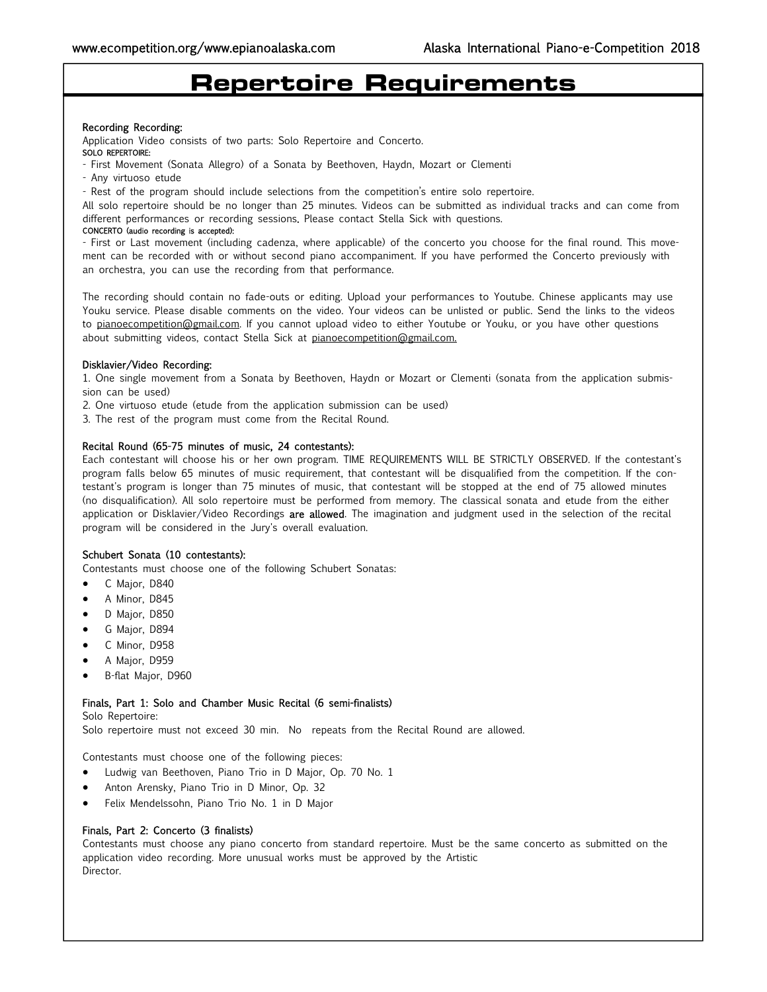# **Repertoire Requirements**

#### Recording Recording:

Application Video consists of two parts: Solo Repertoire and Concerto.

### SOLO REPERTOIRE:

- First Movement (Sonata Allegro) of a Sonata by Beethoven, Haydn, Mozart or Clementi
- Any virtuoso etude
- Rest of the program should include selections from the competition's entire solo repertoire.

All solo repertoire should be no longer than 25 minutes. Videos can be submitted as individual tracks and can come from different performances or recording sessions. Please contact Stella Sick with questions.

#### CONCERTO (audio recording is accepted):

- First or Last movement (including cadenza, where applicable) of the concerto you choose for the final round. This movement can be recorded with or without second piano accompaniment. If you have performed the Concerto previously with an orchestra, you can use the recording from that performance.

The recording should contain no fade-outs or editing. Upload your performances to Youtube. Chinese applicants may use Youku service. Please disable comments on the video. Your videos can be unlisted or public. Send the links to the videos to pianoecompetition@gmail.com. If you cannot upload video to either Youtube or Youku, or you have other questions about submitting videos, contact Stella Sick at pianoecompetition@gmail.com.

#### Disklavier/Video Recording:

1. One single movement from a Sonata by Beethoven, Haydn or Mozart or Clementi (sonata from the application submission can be used)

2. One virtuoso etude (etude from the application submission can be used)

3. The rest of the program must come from the Recital Round.

#### Recital Round (65-75 minutes of music, 24 contestants):

Each contestant will choose his or her own program. TIME REQUIREMENTS WILL BE STRICTLY OBSERVED. If the contestant's program falls below 65 minutes of music requirement, that contestant will be disqualified from the competition. If the contestant's program is longer than 75 minutes of music, that contestant will be stopped at the end of 75 allowed minutes (no disqualification). All solo repertoire must be performed from memory. The classical sonata and etude from the either application or Disklavier/Video Recordings are allowed. The imagination and judgment used in the selection of the recital program will be considered in the Jury's overall evaluation.

#### Schubert Sonata (10 contestants):

Contestants must choose one of the following Schubert Sonatas:

- C Major, D840
- A Minor, D845
- D Major, D850
- G Major, D894
- C Minor, D958
- A Major, D959
- B-flat Major, D960

## Finals, Part 1: Solo and Chamber Music Recital (6 semi-finalists)

Solo Repertoire:

Solo repertoire must not exceed 30 min. No repeats from the Recital Round are allowed.

Contestants must choose one of the following pieces:

- Ludwig van Beethoven, Piano Trio in D Major, Op. 70 No. 1
- Anton Arensky, Piano Trio in D Minor, Op. 32
- Felix Mendelssohn, Piano Trio No. 1 in D Major

#### Finals, Part 2: Concerto (3 finalists)

Contestants must choose any piano concerto from standard repertoire. Must be the same concerto as submitted on the application video recording. More unusual works must be approved by the Artistic Director.